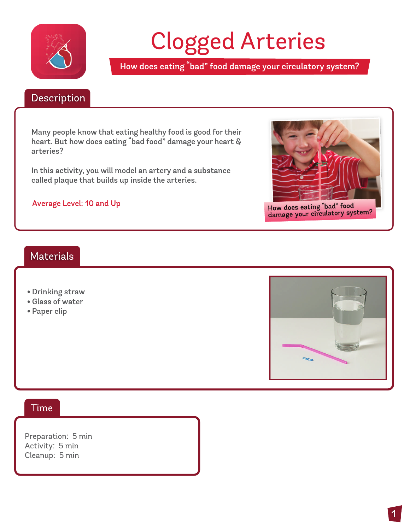

# Clogged Arteries

How does eating "bad" food damage your circulatory system?

#### Description Description

Many people know that eating healthy food is good for their heart. But how does eating "bad food" damage your heart & arteries?

In this activity, you will model an artery and a substance called plaque that builds up inside the arteries.

#### Average Level: 10 and Up



How does eating "bad" food How does eating bad 1000<br>damage your circulatory system?

### **Materials**

- . Drinking straw
- . Glass of water
- . Paper clip



#### Time

Preparation: 5 min Activity: 5 min Cleanup: 5 min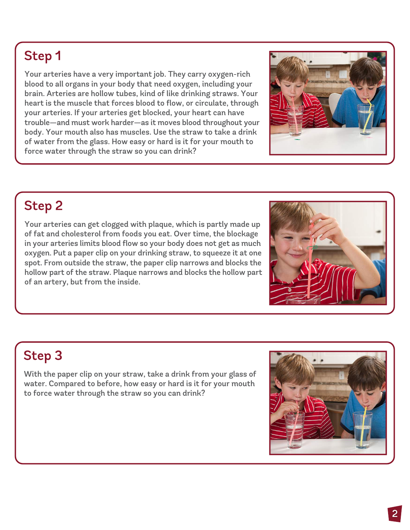## Step 1

Your arteries have a very important job. They carry oxygen-rich blood to all organs in your body that need oxygen, including your brain. Arteries are hollow tubes, kind of like drinking straws. Your heart is the muscle that forces blood to flow, or circulate, through your arteries. If your arteries get blocked, your heart can have trouble—and must work harder—as it moves blood throughout your body. Your mouth also has muscles. Use the straw to take a drink of water from the glass. How easy or hard is it for your mouth to force water through the straw so you can drink?

# **Step 2**

Your arteries can get clogged with plaque, which is partly made up of fat and cholesterol from foods you eat. Over time, the blockage in your arteries limits blood flow so your body does not get as much oxygen. Put a paper clip on your drinking straw, to squeeze it at one spot. From outside the straw, the paper clip narrows and blocks the hollow part of the straw. Plaque narrows and blocks the hollow part of an artery, but from the inside.

# **Step 3**

With the paper clip on your straw, take a drink from your glass of water. Compared to before, how easy or hard is it for your mouth to force water through the straw so you can drink?

![](_page_1_Picture_7.jpeg)

![](_page_1_Picture_8.jpeg)

![](_page_1_Picture_9.jpeg)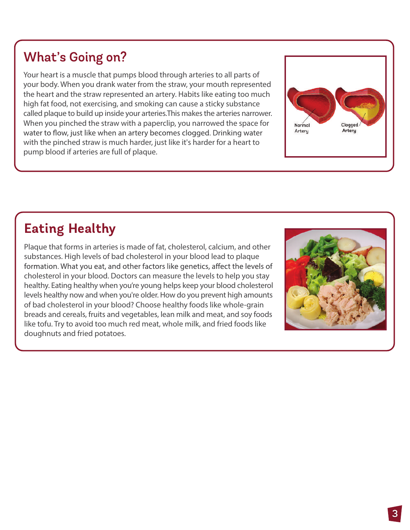### **What's Going on?**

Your heart is a muscle that pumps blood through arteries to all parts of your body. When you drank water from the straw, your mouth represented the heart and the straw represented an artery. Habits like eating too much high fat food, not exercising, and smoking can cause a sticky substance called plaque to build up inside your arteries.This makes the arteries narrower. When you pinched the straw with a paperclip, you narrowed the space for water to flow, just like when an artery becomes clogged. Drinking water with the pinched straw is much harder, just like it's harder for a heart to pump blood if arteries are full of plaque.

![](_page_2_Picture_2.jpeg)

# **Eating Healthy**

Plaque that forms in arteries is made of fat, cholesterol, calcium, and other substances. High levels of bad cholesterol in your blood lead to plaque formation. What you eat, and other factors like genetics, affect the levels of cholesterol in your blood. Doctors can measure the levels to help you stay healthy. Eating healthy when you're young helps keep your blood cholesterol levels healthy now and when you're older. How do you prevent high amounts of bad cholesterol in your blood? Choose healthy foods like whole-grain breads and cereals, fruits and vegetables, lean milk and meat, and soy foods like tofu. Try to avoid too much red meat, whole milk, and fried foods like doughnuts and fried potatoes.

![](_page_2_Picture_5.jpeg)